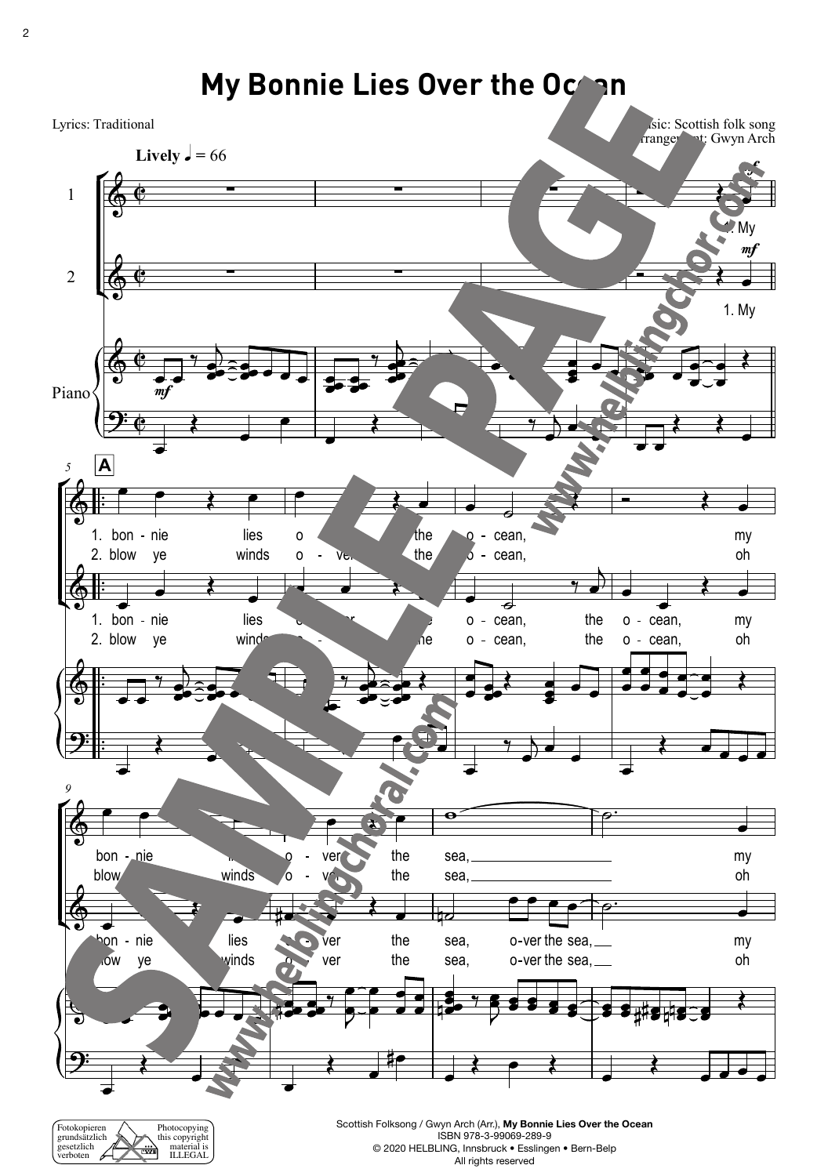gesetzlich verboten

material is<br>ILLEGAL

₩



ISBN 978-3-99069-289-9 © 2020 HELBLING, Innsbruck • Esslingen • Bern-Belp All rights reserved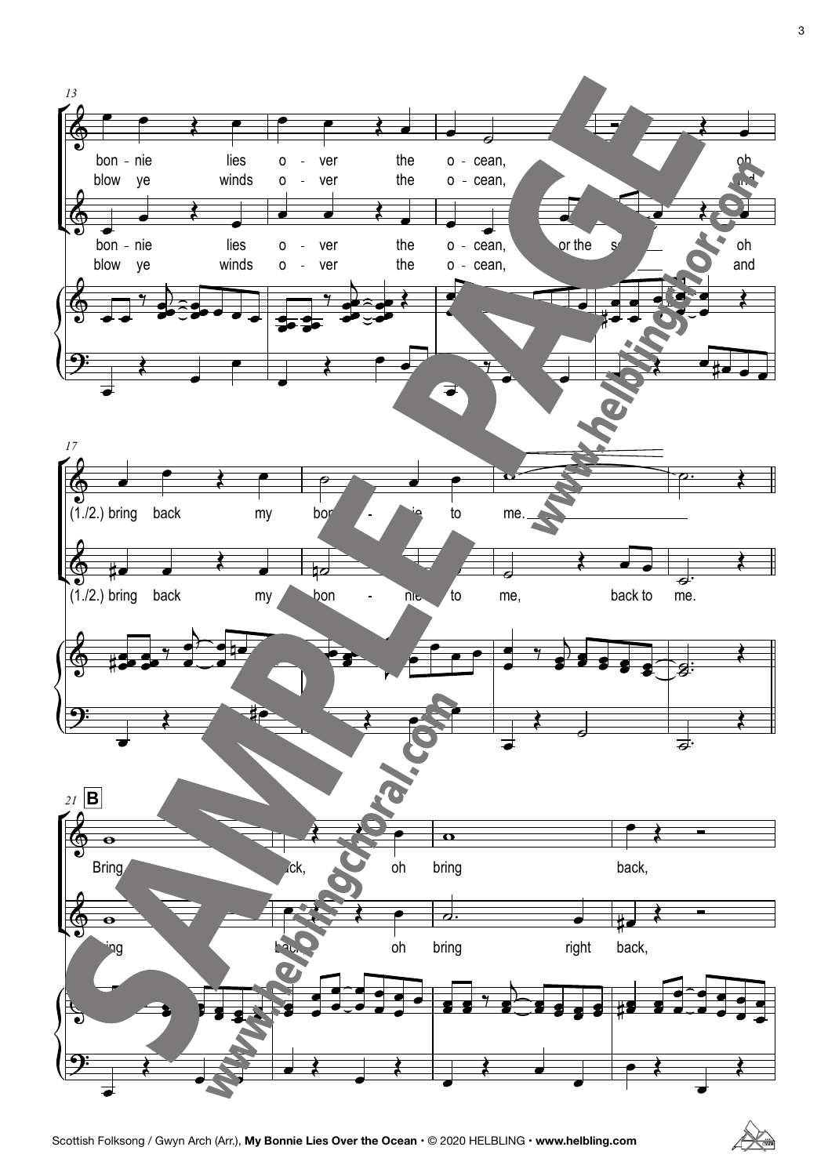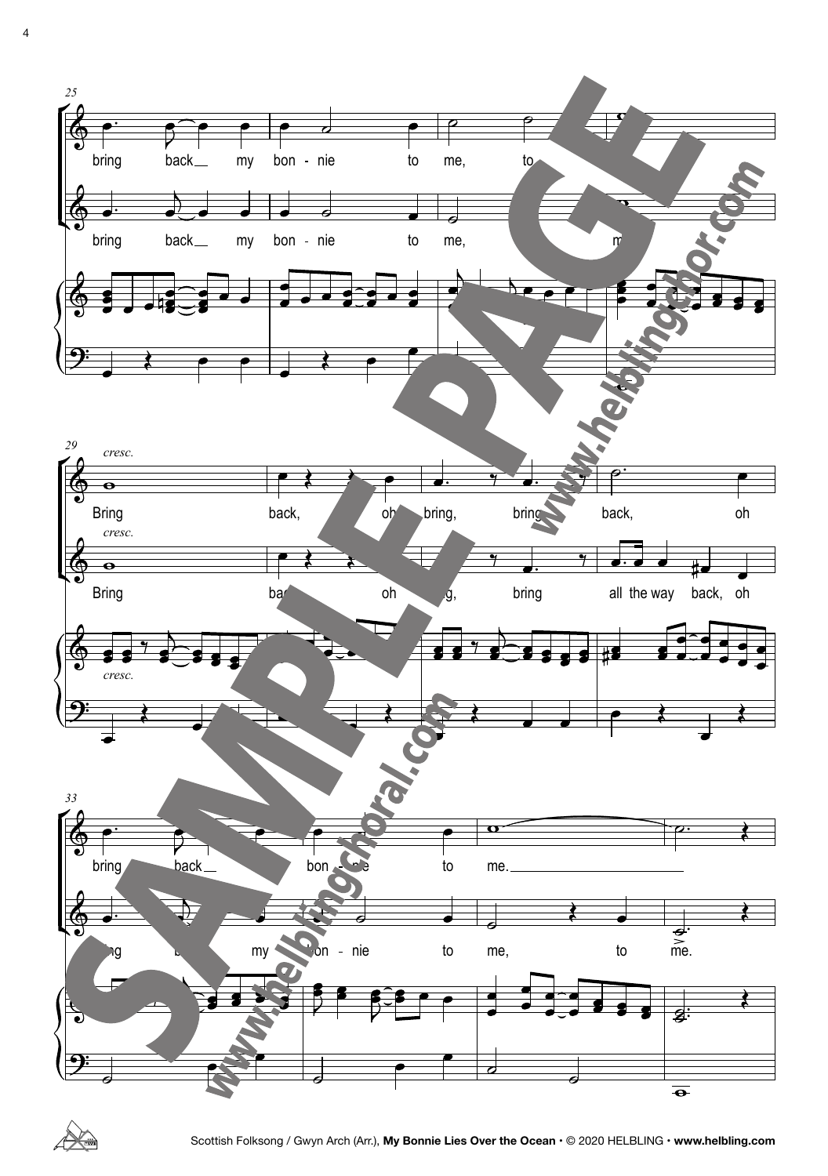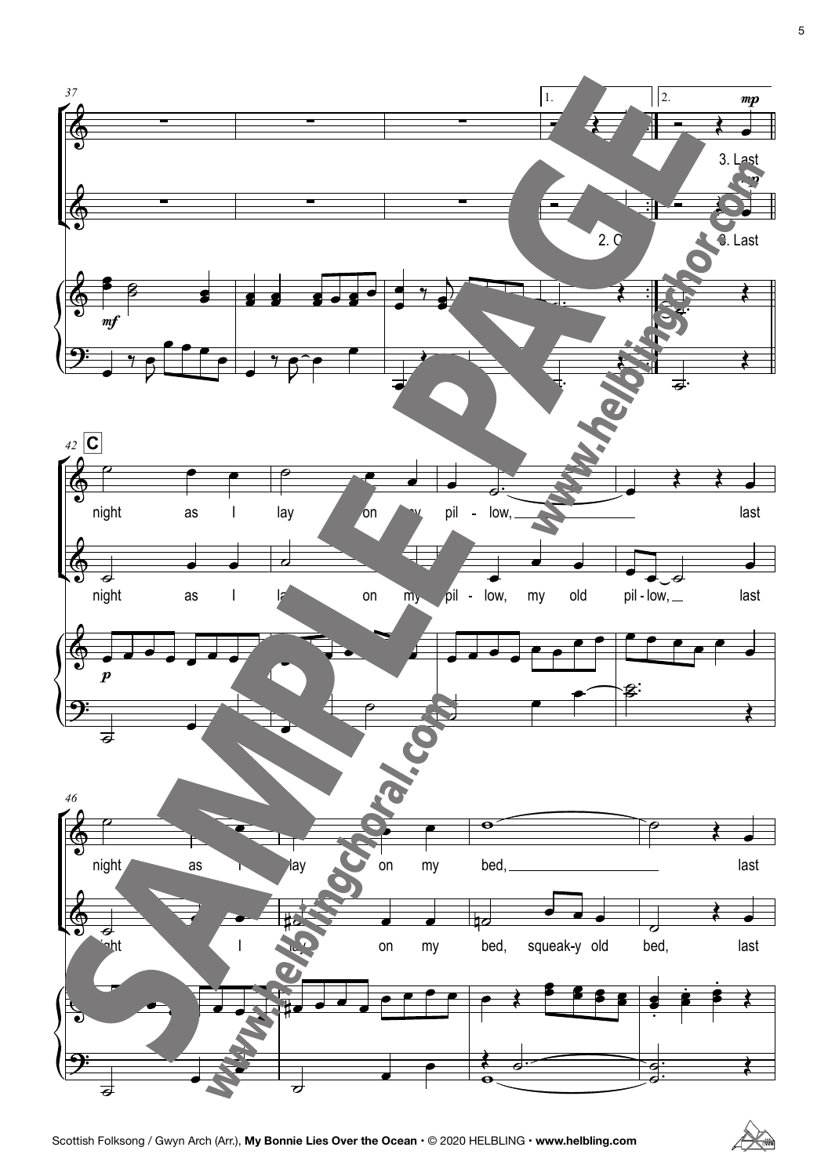

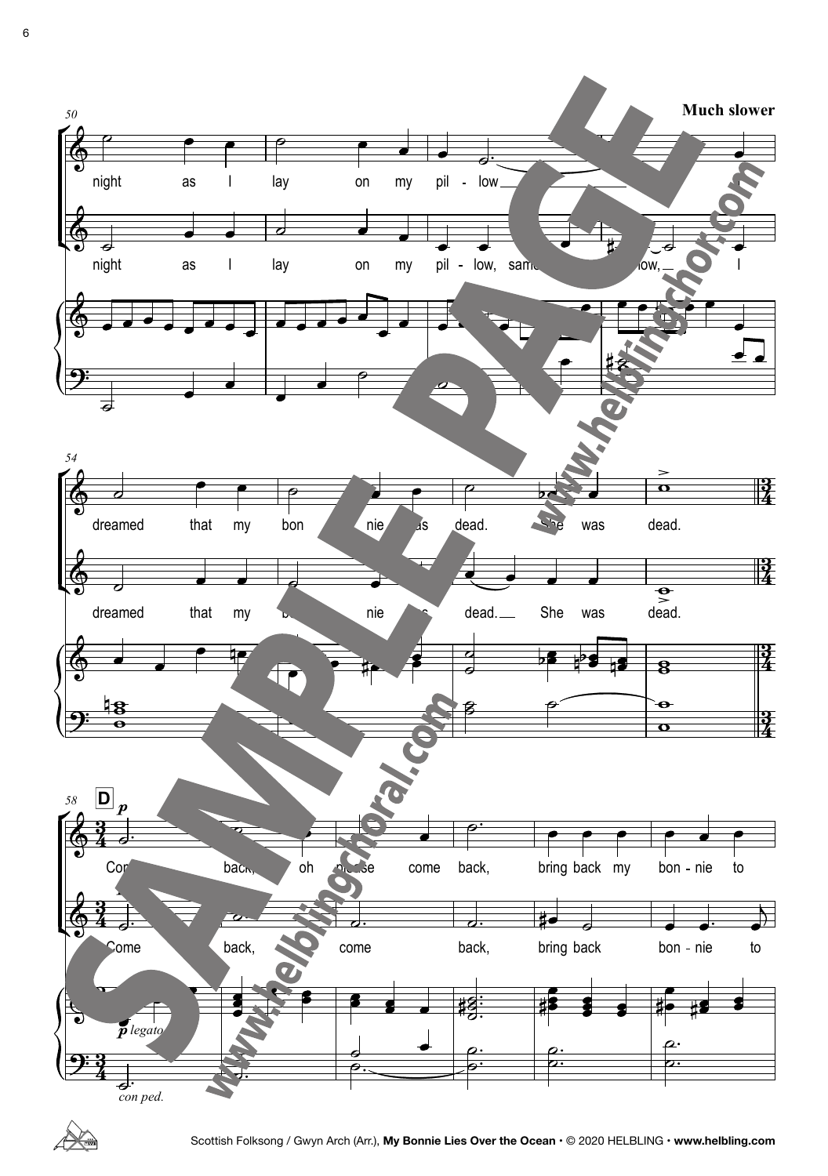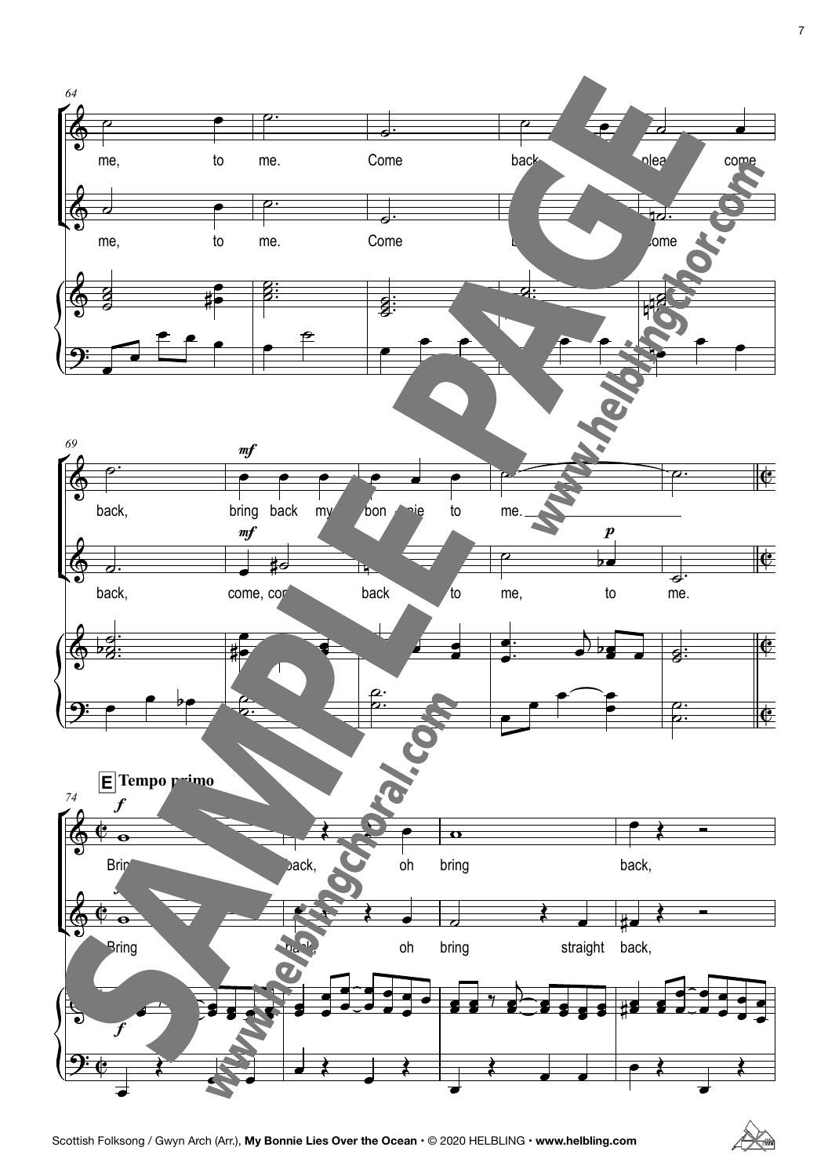